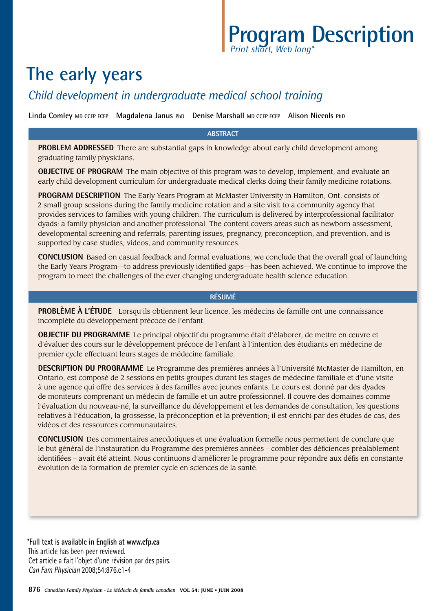# **Program Description** *Print short, Web long\**

# **The early years**

# *Child development in undergraduate medical school training*

**Linda Comley MD CCFP FCFP Magdalena Janus PhD Denise Marshall MD CCFP FCFP Alison Niccols PhD**

#### **ABSTRACT**

**PROBLEM ADDRESSED** There are substantial gaps in knowledge about early child development among graduating family physicians.

**OBJECTIVE OF PROGRAM** The main objective of this program was to develop, implement, and evaluate an early child development curriculum for undergraduate medical clerks doing their family medicine rotations.

**PROGRAM DESCRIPTION** The Early Years Program at McMaster University in Hamilton, Ont, consists of 2 small group sessions during the family medicine rotation and a site visit to a community agency that provides services to families with young children. The curriculum is delivered by interprofessional facilitator dyads: a family physician and another professional. The content covers areas such as newborn assessment, developmental screening and referrals, parenting issues, pregnancy, preconception, and prevention, and is supported by case studies, videos, and community resources.

**CONCLUSION** Based on casual feedback and formal evaluations, we conclude that the overall goal of launching the Early Years Program—to address previously identified gaps—has been achieved. We continue to improve the program to meet the challenges of the ever changing undergraduate health science education.

#### **Résumé**

**PROBLÈME À L'ÉTUDE** Lorsqu'ils obtiennent leur licence, les médecins de famille ont une connaissance incomplète du développement précoce de l'enfant.

**OBJECTIF DU PROGRAMME** Le principal objectif du programme était d'élaborer, de mettre en œuvre et d'évaluer des cours sur le développement précoce de l'enfant à l'intention des étudiants en médecine de premier cycle effectuant leurs stages de médecine familiale.

**DESCRIPTION DU PROGRAMME** Le Programme des premières années à l'Université McMaster de Hamilton, en Ontario, est composé de 2 sessions en petits groupes durant les stages de médecine familiale et d'une visite à une agence qui offre des services à des familles avec jeunes enfants. Le cours est donné par des dyades de moniteurs comprenant un médecin de famille et un autre professionnel. Il couvre des domaines comme l'évaluation du nouveau-né, la surveillance du développement et les demandes de consultation, les questions relatives à l'éducation, la grossesse, la préconception et la prévention; il est enrichi par des études de cas, des vidéos et des ressources communautaires.

**CONCLUSION** Des commentaires anecdotiques et une évaluation formelle nous permettent de conclure que le but général de l'instauration du Programme des premières années – combler des déficiences préalablement identifiées – avait été atteint. Nous continuons d'améliorer le programme pour répondre aux défis en constante évolution de la formation de premier cycle en sciences de la santé.

**\*Full text is available in English at www.cfp.ca** This article has been peer reviewed. Cet article a fait l'objet d'une révision par des pairs. Can Fam Physician 2008;54:876.e1-4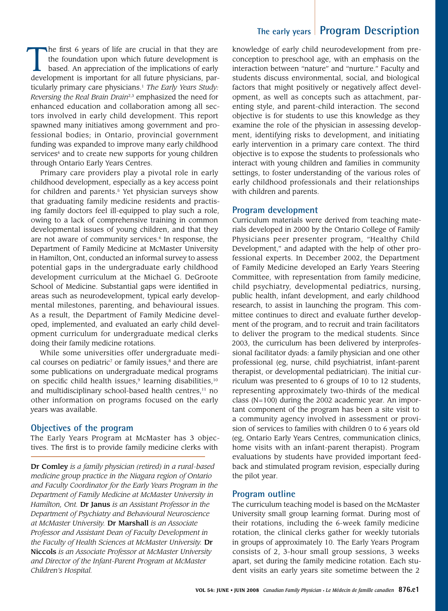### **The early years Program Description**

The first 6 years of life are crucial in that they are the foundation upon which future development is based. An appreciation of the implications of early development is important for all future physicians, particularly primary care physicians.1 *The Early Years Study: Reversing the Real Brain Drain*2,3 emphasized the need for enhanced education and collaboration among all sectors involved in early child development. This report spawned many initiatives among government and professional bodies; in Ontario, provincial government funding was expanded to improve many early childhood services<sup>4</sup> and to create new supports for young children through Ontario Early Years Centres.

Primary care providers play a pivotal role in early childhood development, especially as a key access point for children and parents.<sup>5</sup> Yet physician surveys show that graduating family medicine residents and practising family doctors feel ill-equipped to play such a role, owing to a lack of comprehensive training in common developmental issues of young children, and that they are not aware of community services.<sup>6</sup> In response, the Department of Family Medicine at McMaster University in Hamilton, Ont, conducted an informal survey to assess potential gaps in the undergraduate early childhood development curriculum at the Michael G. DeGroote School of Medicine. Substantial gaps were identified in areas such as neurodevelopment, typical early developmental milestones, parenting, and behavioural issues. As a result, the Department of Family Medicine developed, implemented, and evaluated an early child development curriculum for undergraduate medical clerks doing their family medicine rotations.

While some universities offer undergraduate medical courses on pediatric<sup>7</sup> or family issues, $\frac{8}{3}$  and there are some publications on undergraduate medical programs on specific child health issues, $9$  learning disabilities, $10$ and multidisciplinary school-based health centres,<sup>11</sup> no other information on programs focused on the early years was available.

#### **Objectives of the program**

The Early Years Program at McMaster has 3 objectives. The first is to provide family medicine clerks with

Dr Comley *is a family physician (retired) in a rural-based medicine group practice in the Niagara region of Ontario and Faculty Coordinator for the Early Years Program in the Department of Family Medicine at McMaster University in Hamilton, Ont.* Dr Janus *is an Assistant Professor in the Department of Psychiatry and Behavioural Neuroscience at McMaster University.* Dr Marshall *is an Associate Professor and Assistant Dean of Faculty Development in the Faculty of Health Sciences at McMaster University.* Dr Niccols *is an Associate Professor at McMaster University and Director of the Infant-Parent Program at McMaster Children's Hospital.* 

knowledge of early child neurodevelopment from preconception to preschool age, with an emphasis on the interaction between "nature" and "nurture." Faculty and students discuss environmental, social, and biological factors that might positively or negatively affect development, as well as concepts such as attachment, parenting style, and parent-child interaction. The second objective is for students to use this knowledge as they examine the role of the physician in assessing development, identifying risks to development, and initiating early intervention in a primary care context. The third objective is to expose the students to professionals who interact with young children and families in community settings, to foster understanding of the various roles of early childhood professionals and their relationships with children and parents.

#### **Program development**

Curriculum materials were derived from teaching materials developed in 2000 by the Ontario College of Family Physicians peer presenter program, "Healthy Child Development," and adapted with the help of other professional experts. In December 2002, the Department of Family Medicine developed an Early Years Steering Committee, with representation from family medicine, child psychiatry, developmental pediatrics, nursing, public health, infant development, and early childhood research, to assist in launching the program. This committee continues to direct and evaluate further development of the program, and to recruit and train facilitators to deliver the program to the medical students. Since 2003, the curriculum has been delivered by interprofessional facilitator dyads: a family physician and one other professional (eg, nurse, child psychiatrist, infant-parent therapist, or developmental pediatrician). The initial curriculum was presented to 6 groups of 10 to 12 students, representing approximately two-thirds of the medical class (N=100) during the 2002 academic year. An important component of the program has been a site visit to a community agency involved in assessment or provision of services to families with children 0 to 6 years old (eg, Ontario Early Years Centres, communication clinics, home visits with an infant-parent therapist). Program evaluations by students have provided important feedback and stimulated program revision, especially during the pilot year.

#### **Program outline**

The curriculum teaching model is based on the McMaster University small group learning format. During most of their rotations, including the 6-week family medicine rotation, the clinical clerks gather for weekly tutorials in groups of approximately 10. The Early Years Program consists of 2, 3-hour small group sessions, 3 weeks apart, set during the family medicine rotation. Each student visits an early years site sometime between the 2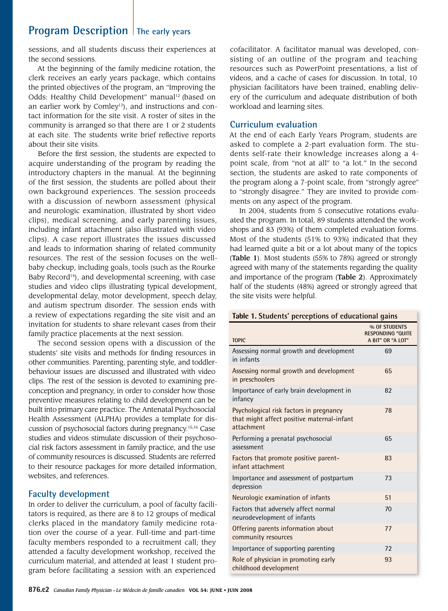## **Program Description** The early years

sessions, and all students discuss their experiences at the second sessions.

At the beginning of the family medicine rotation, the clerk receives an early years package, which contains the printed objectives of the program, an "Improving the Odds: Healthy Child Development" manual<sup>12</sup> (based on an earlier work by Comley<sup>13</sup>), and instructions and contact information for the site visit. A roster of sites in the community is arranged so that there are 1 or 2 students at each site. The students write brief reflective reports about their site visits.

Before the first session, the students are expected to acquire understanding of the program by reading the introductory chapters in the manual. At the beginning of the first session, the students are polled about their own background experiences. The session proceeds with a discussion of newborn assessment (physical and neurologic examination, illustrated by short video clips), medical screening, and early parenting issues, including infant attachment (also illustrated with video clips). A case report illustrates the issues discussed and leads to information sharing of related community resources. The rest of the session focuses on the wellbaby checkup, including goals, tools (such as the Rourke Baby Record<sup>14</sup>), and developmental screening, with case studies and video clips illustrating typical development, developmental delay, motor development, speech delay, and autism spectrum disorder. The session ends with a review of expectations regarding the site visit and an invitation for students to share relevant cases from their family practice placements at the next session.

The second session opens with a discussion of the students' site visits and methods for finding resources in other communities. Parenting, parenting style, and toddlerbehaviour issues are discussed and illustrated with video clips. The rest of the session is devoted to examining preconception and pregnancy, in order to consider how those preventive measures relating to child development can be built into primary care practice. The Antenatal Psychosocial Health Assessment (ALPHA) provides a template for discussion of psychosocial factors during pregnancy.15,16 Case studies and videos stimulate discussion of their psychosocial risk factors assessment in family practice, and the use of community resources is discussed. Students are referred to their resource packages for more detailed information, websites, and references.

#### **Faculty development**

In order to deliver the curriculum, a pool of faculty facilitators is required, as there are 8 to 12 groups of medical clerks placed in the mandatory family medicine rotation over the course of a year. Full-time and part-time faculty members responded to a recruitment call; they attended a faculty development workshop, received the curriculum material, and attended at least 1 student program before facilitating a session with an experienced

cofacilitator. A facilitator manual was developed, consisting of an outline of the program and teaching resources such as PowerPoint presentations, a list of videos, and a cache of cases for discussion. In total, 10 physician facilitators have been trained, enabling delivery of the curriculum and adequate distribution of both workload and learning sites.

#### **Curriculum evaluation**

At the end of each Early Years Program, students are asked to complete a 2-part evaluation form. The students self-rate their knowledge increases along a 4 point scale, from "not at all" to "a lot." In the second section, the students are asked to rate components of the program along a 7-point scale, from "strongly agree" to "strongly disagree." They are invited to provide comments on any aspect of the program.

In 2004, students from 5 consecutive rotations evaluated the program. In total, 89 students attended the workshops and 83 (93%) of them completed evaluation forms. Most of the students (51% to 93%) indicated that they had learned quite a bit or a lot about many of the topics (Table 1). Most students (55% to 78%) agreed or strongly agreed with many of the statements regarding the quality and importance of the program (Table 2). Approximately half of the students (48%) agreed or strongly agreed that the site visits were helpful.

#### **Table 1. Students' perceptions of educational gains**

| <b>TOPIC</b>                                                                                        | % OF STUDENTS<br><b>RESPONDING "QUITE</b><br>A BIT" OR "A LOT" |
|-----------------------------------------------------------------------------------------------------|----------------------------------------------------------------|
| Assessing normal growth and development<br>in infants                                               | 69                                                             |
| Assessing normal growth and development<br>in preschoolers                                          | 65                                                             |
| Importance of early brain development in<br>infancy                                                 | 82                                                             |
| Psychological risk factors in pregnancy<br>that might affect positive maternal-infant<br>attachment | 78                                                             |
| Performing a prenatal psychosocial<br>assessment                                                    | 65                                                             |
| Factors that promote positive parent-<br>infant attachment                                          | 83                                                             |
| Importance and assessment of postpartum<br>depression                                               | 73                                                             |
| Neurologic examination of infants                                                                   | 51                                                             |
| Factors that adversely affect normal<br>neurodevelopment of infants                                 | 70                                                             |
| Offering parents information about<br>community resources                                           | 77                                                             |
| Importance of supporting parenting                                                                  | 72                                                             |
| Role of physician in promoting early<br>childhood development                                       | 93                                                             |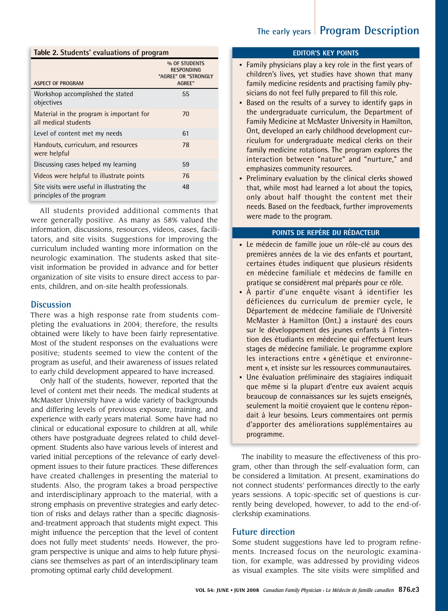### **The early years Program Description**

#### **Table 2. Students' evaluations of program**

| ASPECT OF PROGRAM                                                        | % OF STUDENTS<br><b>RESPONDING</b><br>"AGREE" OR "STRONGLY<br>AGREE" |
|--------------------------------------------------------------------------|----------------------------------------------------------------------|
|                                                                          |                                                                      |
| Workshop accomplished the stated<br>objectives                           | 55                                                                   |
| Material in the program is important for<br>all medical students         | 70                                                                   |
| Level of content met my needs                                            | 61                                                                   |
| Handouts, curriculum, and resources<br>were helpful                      | 78                                                                   |
| Discussing cases helped my learning                                      | 59                                                                   |
| Videos were helpful to illustrate points                                 | 76                                                                   |
| Site visits were useful in illustrating the<br>principles of the program | 48                                                                   |

All students provided additional comments that were generally positive. As many as 58% valued the information, discussions, resources, videos, cases, facilitators, and site visits. Suggestions for improving the curriculum included wanting more information on the neurologic examination. The students asked that sitevisit information be provided in advance and for better organization of site visits to ensure direct access to parents, children, and on-site health professionals.

#### **Discussion**

There was a high response rate from students completing the evaluations in 2004; therefore, the results obtained were likely to have been fairly representative. Most of the student responses on the evaluations were positive; students seemed to view the content of the program as useful, and their awareness of issues related to early child development appeared to have increased.

Only half of the students, however, reported that the level of content met their needs. The medical students at McMaster University have a wide variety of backgrounds and differing levels of previous exposure, training, and experience with early years material. Some have had no clinical or educational exposure to children at all, while others have postgraduate degrees related to child development. Students also have various levels of interest and varied initial perceptions of the relevance of early development issues to their future practices. These differences have created challenges in presenting the material to students. Also, the program takes a broad perspective and interdisciplinary approach to the material, with a strong emphasis on preventive strategies and early detection of risks and delays rather than a specific diagnosisand-treatment approach that students might expect. This might influence the perception that the level of content does not fully meet students' needs. However, the program perspective is unique and aims to help future physicians see themselves as part of an interdisciplinary team promoting optimal early child development.

#### **EDITOR'S KEY POINTS**

- Family physicians play a key role in the first years of children's lives, yet studies have shown that many family medicine residents and practising family physicians do not feel fully prepared to fill this role.
- Based on the results of a survey to identify gaps in the undergraduate curriculum, the Department of Family Medicine at McMaster University in Hamilton, Ont, developed an early childhood development curriculum for undergraduate medical clerks on their family medicine rotations. The program explores the interaction between "nature" and "nurture," and emphasizes community resources.
- Preliminary evaluation by the clinical clerks showed that, while most had learned a lot about the topics, only about half thought the content met their needs. Based on the feedback, further improvements were made to the program.

#### **Points de repère du rédacteur**

- Le médecin de famille joue un rôle-clé au cours des premières années de la vie des enfants et pourtant, certaines études indiquent que plusieurs résidents en médecine familiale et médecins de famille en pratique se considèrent mal préparés pour ce rôle.
- À partir d'une enquête visant à identifier les déficiences du curriculum de premier cycle, le Département de médecine familiale de l'Université McMaster à Hamilton (Ont.) a instauré des cours sur le développement des jeunes enfants à l'intention des étudiants en médecine qui effectuent leurs stages de médecine familiale. Le programme explore les interactions entre « génétique et environnement », et insiste sur les ressources communautaires.
- Une évaluation préliminaire des stagiaires indiquait que même si la plupart d'entre eux avaient acquis beaucoup de connaissances sur les sujets enseignés, seulement la moitié croyaient que le contenu répondait à leur besoins. Leurs commentaires ont permis d'apporter des améliorations supplémentaires au programme.

The inability to measure the effectiveness of this program, other than through the self-evaluation form, can be considered a limitation. At present, examinations do not connect students' performances directly to the early years sessions. A topic-specific set of questions is currently being developed, however, to add to the end-ofclerkship examinations.

#### **Future direction**

Some student suggestions have led to program refinements. Increased focus on the neurologic examination, for example, was addressed by providing videos as visual examples. The site visits were simplified and